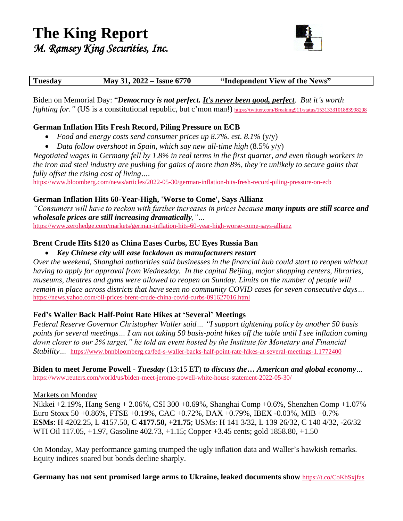

Biden on Memorial Day: "*Democracy is not perfect. It's never been good, perfect. But it's worth fighting for.*" (US is a constitutional republic, but c'mon man!) <https://twitter.com/Breaking911/status/1531333101883998208>

# **German Inflation Hits Fresh Record, Piling Pressure on ECB**

- *Food and energy costs send consumer prices up 8.7%. est. 8.1%* (y/y)
- *Data follow overshoot in Spain, which say new all-time high* (8.5% y/y)

*Negotiated wages in Germany fell by 1.8% in real terms in the first quarter, and even though workers in the iron and steel industry are pushing for gains of more than 8%, they're unlikely to secure gains that fully offset the rising cost of living….*

<https://www.bloomberg.com/news/articles/2022-05-30/german-inflation-hits-fresh-record-piling-pressure-on-ecb>

# **German Inflation Hits 60-Year-High, 'Worse to Come', Says Allianz**

*"Consumers will have to reckon with further increases in prices because many inputs are still scarce and wholesale prices are still increasing dramatically,"…*

<https://www.zerohedge.com/markets/german-inflation-hits-60-year-high-worse-come-says-allianz>

# **Brent Crude Hits \$120 as China Eases Curbs, EU Eyes Russia Ban**

## • *Key Chinese city will ease lockdown as manufacturers restart*

*Over the weekend, Shanghai authorities said businesses in the financial hub could start to reopen without having to apply for approval from Wednesday. In the capital Beijing, major shopping centers, libraries, museums, theatres and gyms were allowed to reopen on Sunday. Limits on the number of people will remain in place across districts that have seen no community COVID cases for seven consecutive days…* <https://news.yahoo.com/oil-prices-brent-crude-china-covid-curbs-091627016.html>

# **Fed's Waller Back Half-Point Rate Hikes at 'Several' Meetings**

*Federal Reserve Governor Christopher Waller said… "I support tightening policy by another 50 basis points for several meetings… I am not taking 50 basis-point hikes off the table until I see inflation coming down closer to our 2% target," he told an event hosted by the Institute for Monetary and Financial Stability…* <https://www.bnnbloomberg.ca/fed-s-waller-backs-half-point-rate-hikes-at-several-meetings-1.1772400>

**Biden to meet Jerome Powell** - *Tuesday* (13:15 ET) *to discuss the… American and global economy…* <https://www.reuters.com/world/us/biden-meet-jerome-powell-white-house-statement-2022-05-30/>

### Markets on Monday

Nikkei +2.19%, Hang Seng + 2.06%, CSI 300 +0.69%, Shanghai Comp +0.6%, Shenzhen Comp +1.07% Euro Stoxx 50 +0.86%, FTSE +0.19%, CAC +0.72%, DAX +0.79%, IBEX -0.03%, MIB +0.7% **ESMs**: H 4202.25, L 4157.50, **C 4177.50, +21.75**; USMs: H 141 3/32, L 139 26/32, C 140 4/32, -26/32 WTI Oil 117.05, +1.97, Gasoline 402.73, +1.15; Copper +3.45 cents; gold 1858.80, +1.50

On Monday, May performance gaming trumped the ugly inflation data and Waller's hawkish remarks. Equity indices soared but bonds decline sharply.

**Germany has not sent promised large arms to Ukraine, leaked documents show** <https://t.co/CoKbSxjfas>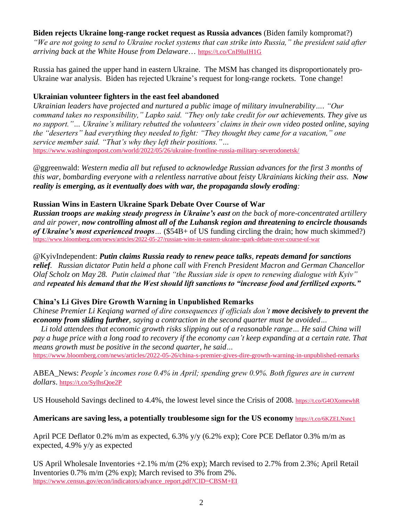## **Biden rejects Ukraine long-range rocket request as Russia advances** (Biden family kompromat?)

*"We are not going to send to Ukraine rocket systems that can strike into Russia," the president said after arriving back at the White House from Delaware*… <https://t.co/CnI9IuIH1G>

Russia has gained the upper hand in eastern Ukraine. The MSM has changed its disproportionately pro-Ukraine war analysis. Biden has rejected Ukraine's request for long-range rockets. Tone change!

# **Ukrainian volunteer fighters in the east feel abandoned**

*Ukrainian leaders have projected and nurtured a public image of military invulnerability…. "Our command takes no responsibility," Lapko said. "They only take credit for our achievements. They give us no support."… Ukraine's military rebutted the volunteers' claims in their own video posted online, saying the "deserters" had everything they needed to fight: "They thought they came for a vacation," one service member said. "That's why they left their positions."…* <https://www.washingtonpost.com/world/2022/05/26/ukraine-frontline-russia-military-severodonetsk/>

@ggreenwald: *Western media all but refused to acknowledge Russian advances for the first 3 months of this war, bombarding everyone with a relentless narrative about feisty Ukrainians kicking their ass. Now reality is emerging, as it eventually does with war, the propaganda slowly eroding:*

# **Russian Wins in Eastern Ukraine Spark Debate Over Course of War**

*Russian troops are making steady progress in Ukraine's east on the back of more-concentrated artillery and air power, now controlling almost all of the Luhansk region and threatening to encircle thousands of Ukraine's most experienced troops…* (\$54B+ of US funding circling the drain; how much skimmed?) <https://www.bloomberg.com/news/articles/2022-05-27/russian-wins-in-eastern-ukraine-spark-debate-over-course-of-war>

@KyivIndependent: *Putin claims Russia ready to renew peace talks, repeats demand for sanctions relief. Russian dictator Putin held a phone call with French President Macron and German Chancellor Olaf Scholz on May 28. Putin claimed that "the Russian side is open to renewing dialogue with Kyiv" and repeated his demand that the West should lift sanctions to "increase food and fertilized exports."*

# **China's Li Gives Dire Growth Warning in Unpublished Remarks**

*Chinese Premier Li Keqiang warned of dire consequences if officials don't move decisively to prevent the economy from sliding further, saying a contraction in the second quarter must be avoided…*

 *Li told attendees that economic growth risks slipping out of a reasonable range… He said China will pay a huge price with a long road to recovery if the economy can't keep expanding at a certain rate. That means growth must be positive in the second quarter, he said…*

<https://www.bloomberg.com/news/articles/2022-05-26/china-s-premier-gives-dire-growth-warning-in-unpublished-remarks>

ABEA\_News: *People's incomes rose 0.4% in April; spending grew 0.9%. Both figures are in current dollars*. <https://t.co/SylhsQoe2P>

US Household Savings declined to 4.4%, the lowest level since the Crisis of 2008. <https://t.co/G4OXomewhR>

# **Americans are saving less, a potentially troublesome sign for the US economy** <https://t.co/6KZELNsnc1>

April PCE Deflator 0.2% m/m as expected, 6.3% y/y (6.2% exp); Core PCE Deflator 0.3% m/m as expected, 4.9% y/y as expected

US April Wholesale Inventories +2.1% m/m (2% exp); March revised to 2.7% from 2.3%; April Retail Inventories 0.7% m/m (2% exp); March revised to 3% from 2%. [https://www.census.gov/econ/indicators/advance\\_report.pdf?CID=CBSM+EI](https://www.census.gov/econ/indicators/advance_report.pdf?CID=CBSM+EI)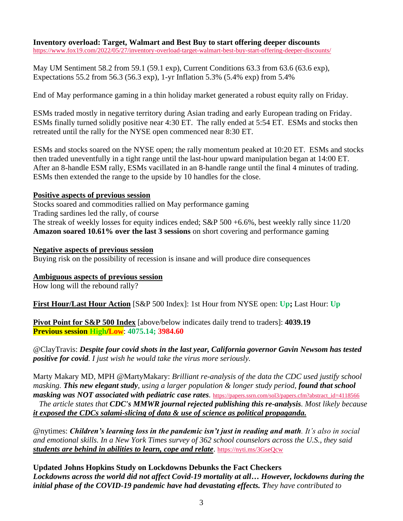**Inventory overload: Target, Walmart and Best Buy to start offering deeper discounts** <https://www.fox19.com/2022/05/27/inventory-overload-target-walmart-best-buy-start-offering-deeper-discounts/>

May UM Sentiment 58.2 from 59.1 (59.1 exp), Current Conditions 63.3 from 63.6 (63.6 exp), Expectations 55.2 from 56.3 (56.3 exp), 1-yr Inflation 5.3% (5.4% exp) from 5.4%

End of May performance gaming in a thin holiday market generated a robust equity rally on Friday.

ESMs traded mostly in negative territory during Asian trading and early European trading on Friday. ESMs finally turned solidly positive near 4:30 ET. The rally ended at 5:54 ET. ESMs and stocks then retreated until the rally for the NYSE open commenced near 8:30 ET.

ESMs and stocks soared on the NYSE open; the rally momentum peaked at 10:20 ET. ESMs and stocks then traded uneventfully in a tight range until the last-hour upward manipulation began at 14:00 ET. After an 8-handle ESM rally, ESMs vacillated in an 8-handle range until the final 4 minutes of trading. ESMs then extended the range to the upside by 10 handles for the close.

### **Positive aspects of previous session**

Stocks soared and commodities rallied on May performance gaming Trading sardines led the rally, of course The streak of weekly losses for equity indices ended; S&P 500 +6.6%, best weekly rally since 11/20 **Amazon soared 10.61% over the last 3 sessions** on short covering and performance gaming

**Negative aspects of previous session** Buying risk on the possibility of recession is insane and will produce dire consequences

**Ambiguous aspects of previous session**

How long will the rebound rally?

**First Hour/Last Hour Action** [S&P 500 Index]: 1st Hour from NYSE open: **Up;** Last Hour: **Up**

**Pivot Point for S&P 500 Index** [above/below indicates daily trend to traders]: **4039.19 Previous session High/Low**: **4075.14; 3984.60**

@ClayTravis: *Despite four covid shots in the last year, California governor Gavin Newsom has tested positive for covid. I just wish he would take the virus more seriously.*

Marty Makary MD, MPH @MartyMakary: *Brilliant re-analysis of the data the CDC used justify school masking. This new elegant study, using a larger population & longer study period, found that school masking was NOT associated with pediatric case rates.* [https://papers.ssrn.com/sol3/papers.cfm?abstract\\_id=4118566](https://papers.ssrn.com/sol3/papers.cfm?abstract_id=4118566) *The article states that CDC's MMWR journal rejected publishing this re-analysis. Most likely because it exposed the CDCs salami-slicing of data & use of science as political propaganda.*

@nytimes: *Children's learning loss in the pandemic isn't just in reading and math. It's also in social and emotional skills. In a New York Times survey of 362 school counselors across the U.S., they said students are behind in abilities to learn, cope and relate*. <https://nyti.ms/3GseQcw>

**Updated Johns Hopkins Study on Lockdowns Debunks the Fact Checkers** *Lockdowns across the world did not affect Covid-19 mortality at all… However, lockdowns during the initial phase of the COVID-19 pandemic have had devastating effects. They have contributed to*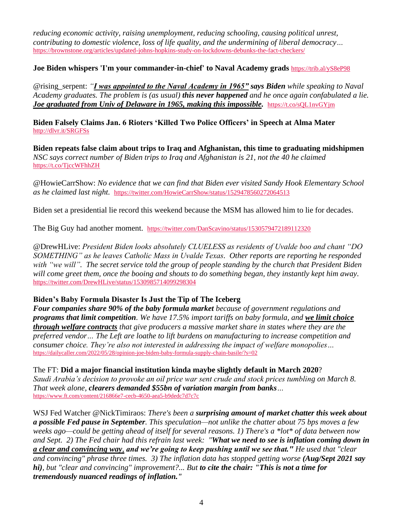*reducing economic activity, raising unemployment, reducing schooling, causing political unrest, contributing to domestic violence, loss of life quality, and the undermining of liberal democracy…* <https://brownstone.org/articles/updated-johns-hopkins-study-on-lockdowns-debunks-the-fact-checkers/>

## **Joe Biden whispers 'I'm your commander-in-chief' to Naval Academy grads** <https://trib.al/yS8eP98>

@rising\_serpent: *"I was appointed to the Naval Academy in 1965" says Biden while speaking to Naval Academy graduates. The problem is (as usual) this never happened and he once again confabulated a lie. Joe graduated from Univ of Delaware in 1965, making this impossible.* **<https://t.co/sQL1nvGYjm>** 

**Biden Falsely Claims Jan. 6 Rioters 'Killed Two Police Officers' in Speech at Alma Mater** <http://dlvr.it/SRGFSs>

**Biden repeats false claim about trips to Iraq and Afghanistan, this time to graduating midshipmen** *NSC says correct number of Biden trips to Iraq and Afghanistan is 21, not the 40 he claimed* <https://t.co/TjccWFhhZH>

@HowieCarrShow: *No evidence that we can find that Biden ever visited Sandy Hook Elementary School as he claimed last night.* <https://twitter.com/HowieCarrShow/status/1529478560272064513>

Biden set a presidential lie record this weekend because the MSM has allowed him to lie for decades.

The Big Guy had another moment. <https://twitter.com/DanScavino/status/1530579472189112320>

@DrewHLive: *President Biden looks absolutely CLUELESS as residents of Uvalde boo and chant "DO SOMETHING" as he leaves Catholic Mass in Uvalde Texas. Other reports are reporting he responded with "we will". The secret service told the group of people standing by the church that President Biden will come greet them, once the booing and shouts to do something began, they instantly kept him away.* <https://twitter.com/DrewHLive/status/1530985714099298304>

### **Biden's Baby Formula Disaster Is Just the Tip of The Iceberg**

*Four companies share 90% of the baby formula market because of government regulations and programs that limit competition. We have 17.5% import tariffs on baby formula, and we limit choice through welfare contracts that give producers a massive market share in states where they are the preferred vendor… The Left are loathe to lift burdens on manufacturing to increase competition and consumer choice. They're also not interested in addressing the impact of welfare monopolies…*  <https://dailycaller.com/2022/05/28/opinion-joe-biden-baby-formula-supply-chain-basile/?s=02>

The FT: **Did a major financial institution kinda maybe slightly default in March 2020**? *Saudi Arabia's decision to provoke an oil price war sent crude and stock prices tumbling on March 8. That week alone, clearers demanded \$55bn of variation margin from banks…* <https://www.ft.com/content/216866e7-cecb-4650-aea5-b9dedc7d7c7c>

WSJ Fed Watcher @NickTimiraos: *There's been a surprising amount of market chatter this week about a possible Fed pause in September. This speculation—not unlike the chatter about 75 bps moves a few weeks ago—could be getting ahead of itself for several reasons. 1) There's a \*lot\* of data between now and Sept. 2) The Fed chair had this refrain last week: "What we need to see is inflation coming down in a clear and convincing way, and we're going to keep pushing until we see that." He used that "clear and convincing" phrase three times. 3) The inflation data has stopped getting worse (Aug/Sept 2021 say hi), but "clear and convincing" improvement?... But to cite the chair: "This is not a time for tremendously nuanced readings of inflation."*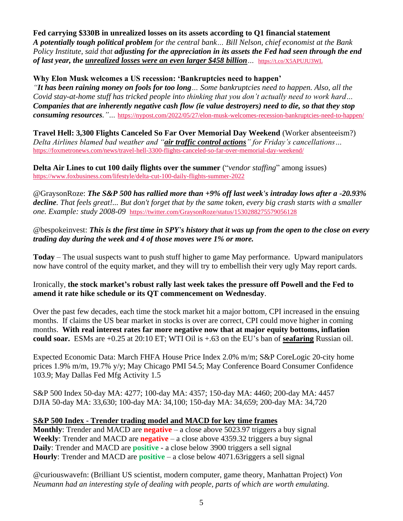**Fed carrying \$330B in unrealized losses on its assets according to Q1 financial statement** *A potentially tough political problem for the central bank… Bill Nelson, chief economist at the Bank Policy Institute, said that adjusting for the appreciation in its assets the Fed had seen through the end of last year, the unrealized losses were an even larger \$458 billion…* <https://t.co/X5APUJU3WL>

## **Why Elon Musk welcomes a US recession: 'Bankruptcies need to happen'**

*"It has been raining money on fools for too long… Some bankruptcies need to happen. Also, all the Covid stay-at-home stuff has tricked people into thinking that you don't actually need to work hard… Companies that are inherently negative cash flow (ie value destroyers) need to die, so that they stop consuming resources."…* <https://nypost.com/2022/05/27/elon-musk-welcomes-recession-bankruptcies-need-to-happen/>

**Travel Hell: 3,300 Flights Canceled So Far Over Memorial Day Weekend** (Worker absenteeism?) *Delta Airlines blamed bad weather and "air traffic control actions" for Friday's cancellations…* <https://foxmetronews.com/news/travel-hell-3300-flights-canceled-so-far-over-memorial-day-weekend/>

**Delta Air Lines to cut 100 daily flights over the summer** ("*vendor staffing*" among issues) <https://www.foxbusiness.com/lifestyle/delta-cut-100-daily-flights-summer-2022>

@GraysonRoze: *The S&P 500 has rallied more than +9% off last week's intraday lows after a -20.93% decline. That feels great!... But don't forget that by the same token, every big crash starts with a smaller one. Example: study 2008-09* <https://twitter.com/GraysonRoze/status/1530288275579056128>

@bespokeinvest: *This is the first time in SPY's history that it was up from the open to the close on every trading day during the week and 4 of those moves were 1% or more.*

**Today** – The usual suspects want to push stuff higher to game May performance. Upward manipulators now have control of the equity market, and they will try to embellish their very ugly May report cards.

Ironically, **the stock market's robust rally last week takes the pressure off Powell and the Fed to amend it rate hike schedule or its QT commencement on Wednesday**.

Over the past few decades, each time the stock market hit a major bottom, CPI increased in the ensuing months. If claims the US bear market in stocks is over are correct, CPI could move higher in coming months. **With real interest rates far more negative now that at major equity bottoms, inflation could soar.** ESMs are +0.25 at 20:10 ET; WTI Oil is +.63 on the EU's ban of **seafaring** Russian oil.

Expected Economic Data: March FHFA House Price Index 2.0% m/m; S&P CoreLogic 20-city home prices 1.9% m/m, 19.7% y/y; May Chicago PMI 54.5; May Conference Board Consumer Confidence 103.9; May Dallas Fed Mfg Activity 1.5

S&P 500 Index 50-day MA: 4277; 100-day MA: 4357; 150-day MA: 4460; 200-day MA: 4457 DJIA 50-day MA: 33,630; 100-day MA: 34,100; 150-day MA: 34,659; 200-day MA: 34,720

### **S&P 500 Index - Trender trading model and MACD for key time frames**

**Monthly:** Trender and MACD are **negative** – a close above 5023.97 triggers a buy signal **Weekly**: Trender and MACD are **negative** – a close above 4359.32 triggers a buy signal **Daily**: Trender and MACD are **positive** - a close below 3900 triggers a sell signal **Hourly**: Trender and MACD are **positive** – a close below 4071.63riggers a sell signal

@curiouswavefn: (Brilliant US scientist, modern computer, game theory, Manhattan Project) *Von Neumann had an interesting style of dealing with people, parts of which are worth emulating.*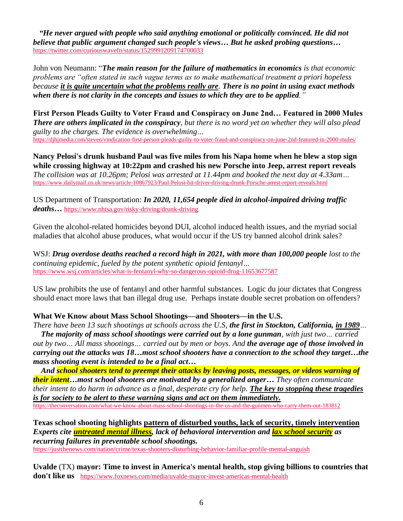*"He never argued with people who said anything emotional or politically convinced. He did not believe that public argument changed such people's views… But he asked probing questions…* <https://twitter.com/curiouswavefn/status/1529991209174700033>

John von Neumann: "*The main reason for the failure of mathematics in economics is that economic problems are "often stated in such vague terms as to make mathematical treatment a priori hopeless because it is quite uncertain what the problems really are. There is no point in using exact methods when there is not clarity in the concepts and issues to which they are to be applied."*

**First Person Pleads Guilty to Voter Fraud and Conspiracy on June 2nd… Featured in 2000 Mules** *There are others implicated in the conspiracy, but there is no word yet on whether they will also plead guilty to the charges. The evidence is overwhelming…* <https://djhjmedia.com/steven/vindication-first-person-pleads-guilty-to-voter-fraud-and-conspiracy-on-june-2nd-featured-in-2000-mules/>

**Nancy Pelosi's drunk husband Paul was five miles from his Napa home when he blew a stop sign while crossing highway at 10:22pm and crashed his new Porsche into Jeep, arrest report reveals** *The collision was at 10.26pm; Pelosi was arrested at 11.44pm and booked the next day at 4.33am…* <https://www.dailymail.co.uk/news/article-10867923/Paul-Pelosi-hit-driver-driving-drunk-Porsche-arrest-report-reveals.html>

US Department of Transportation: *In 2020, 11,654 people died in alcohol-impaired driving traffic deaths…* <https://www.nhtsa.gov/risky-driving/drunk-driving>

Given the alcohol-related homicides beyond DUI, alcohol induced health issues, and the myriad social maladies that alcohol abuse produces, what would occur if the US try banned alcohol drink sales?

WSJ: *Drug overdose deaths reached a record high in 2021, with more than 100,000 people lost to the continuing epidemic, fueled by the potent synthetic opioid fentanyl…* <https://www.wsj.com/articles/what-is-fentanyl-why-so-dangerous-opioid-drug-11653677587>

US law prohibits the use of fentanyl and other harmful substances. Logic du jour dictates that Congress should enact more laws that ban illegal drug use. Perhaps instate double secret probation on offenders?

# **What We Know about Mass School Shootings—and Shooters—in the U.S.**

*There have been 13 such shootings at schools across the U.S, the first in Stockton, California, in 1989…*

 *The majority of mass school shootings were carried out by a lone gunman, with just two… carried out by two… All mass shootings… carried out by men or boys. And the average age of those involved in carrying out the attacks was 18…most school shooters have a connection to the school they target…the mass shooting event is intended to be a final act…*

 *And school shooters tend to preempt their attacks by leaving posts, messages, or videos warning of their intent…most school shooters are motivated by a generalized anger… They often communicate their intent to do harm in advance as a final, desperate cry for help. The key to stopping these tragedies is for society to be alert to these warning signs and act on them immediately.* <https://theconversation.com/what-we-know-about-mass-school-shootings-in-the-us-and-the-gunmen-who-carry-them-out-183812>

**Texas school shooting highlights pattern of disturbed youths, lack of security, timely intervention** *Experts cite untreated mental illness, lack of behavioral intervention and lax school security as recurring failures in preventable school shootings.*

<https://justthenews.com/nation/crime/texas-shooters-disturbing-behavior-familiar-profile-mental-anguish>

**Uvalde** (TX) **mayor: Time to invest in America's mental health, stop giving billions to countries that don't like us** <https://www.foxnews.com/media/uvalde-mayor-invest-americas-mental-health>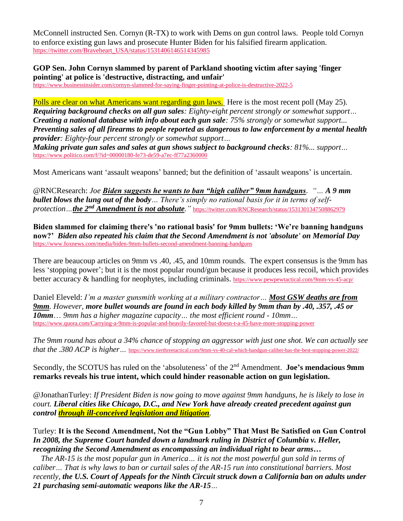McConnell instructed Sen. Cornyn (R-TX) to work with Dems on gun control laws. People told Cornyn to enforce existing gun laws and prosecute Hunter Biden for his falsified firearm application. [https://twitter.com/Braveheart\\_USA/status/1531406146514345985](https://twitter.com/Braveheart_USA/status/1531406146514345985)

**GOP Sen. John Cornyn slammed by parent of Parkland shooting victim after saying 'finger pointing' at police is 'destructive, distracting, and unfair'**

<https://www.businessinsider.com/cornyn-slammed-for-saying-finger-pointing-at-police-is-destructive-2022-5>

Polls are clear on what Americans want regarding gun laws. Here is the most recent poll (May 25). *Requiring background checks on all gun sales: Eighty-eight percent strongly or somewhat support… Creating a national database with info about each gun sale: 75% strongly or somewhat support... Preventing sales of all firearms to people reported as dangerous to law enforcement by a mental health provider: Eighty-four percent strongly or somewhat support…*

*Making private gun sales and sales at gun shows subject to background checks: 81%... support…* <https://www.politico.com/f/?id=00000180-fe73-de59-a7ec-ff77a2360000>

Most Americans want 'assault weapons' banned; but the definition of 'assault weapons' is uncertain.

@RNCResearch: *Joe Biden suggests he wants to ban "high caliber" 9mm handguns. "… A 9 mm bullet blows the lung out of the body… There's simply no rational basis for it in terms of selfprotection…the 2nd Amendment is not absolute."* <https://twitter.com/RNCResearch/status/1531301347508862979>

**Biden slammed for claiming there's 'no rational basis' for 9mm bullets: 'We're banning handguns now?'** *Biden also repeated his claim that the Second Amendment is not 'absolute' on Memorial Day* <https://www.foxnews.com/media/biden-9mm-bullets-second-amendment-banning-handguns>

There are beaucoup articles on 9mm vs .40, .45, and 10mm rounds. The expert consensus is the 9mm has less 'stopping power'; but it is the most popular round/gun because it produces less recoil, which provides better accuracy & handling for neophytes, including criminals. <https://www.pewpewtactical.com/9mm-vs-45-acp/>

Daniel Eleveld: *I'm a master gunsmith working at a military contractor… Most GSW deaths are from 9mm. However, more bullet wounds are found in each body killed by 9mm than by .40, .357, .45 or 10mm*… *9mm has a higher magazine capacity… the most efficient round - 10mm…* <https://www.quora.com/Carrying-a-9mm-is-popular-and-heavily-favored-but-doesn-t-a-45-have-more-stopping-power>

*The 9mm round has about a 34% chance of stopping an aggressor with just one shot. We can actually see that the .380 ACP is higher*... <https://www.tierthreetactical.com/9mm-vs-40-cal-which-handgun-caliber-has-the-best-stopping-power-2022/>

Secondly, the SCOTUS has ruled on the 'absoluteness' of the 2nd Amendment. **Joe's mendacious 9mm remarks reveals his true intent, which could hinder reasonable action on gun legislation.**

@JonathanTurley: *If President Biden is now going to move against 9mm handguns, he is likely to lose in court. Liberal cities like Chicago, D.C., and New York have already created precedent against gun control through ill-conceived legislation and litigation.*

Turley: **It is the Second Amendment, Not the "Gun Lobby" That Must Be Satisfied on Gun Control** *In 2008, the Supreme Court handed down a landmark ruling in District of Columbia v. Heller, recognizing the Second Amendment as encompassing an individual right to bear arms…*

 *The AR-15 is the most popular gun in America… it is not the most powerful gun sold in terms of caliber… That is why laws to ban or curtail sales of the AR-15 run into constitutional barriers. Most recently, the U.S. Court of Appeals for the Ninth Circuit struck down a California ban on adults under 21 purchasing semi-automatic weapons like the AR-15…*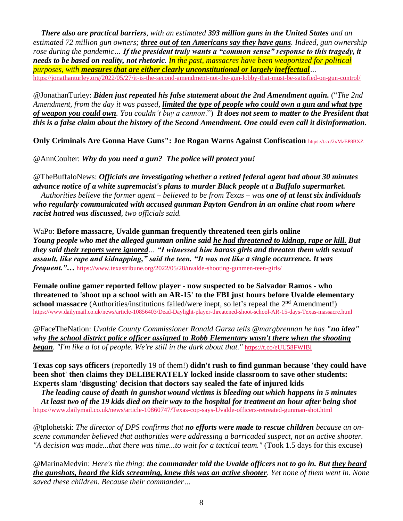*There also are practical barriers, with an estimated 393 million guns in the United States and an estimated 72 million gun owners; three out of ten Americans say they have guns. Indeed, gun ownership rose during the pandemic… If the president truly wants a "common sense" response to this tragedy, it needs to be based on reality, not rhetoric. In the past, massacres have been weaponized for political purposes, with measures that are either clearly unconstitutional or largely ineffectual…* <https://jonathanturley.org/2022/05/27/it-is-the-second-amendment-not-the-gun-lobby-that-must-be-satisfied-on-gun-control/>

@JonathanTurley: *Biden just repeated his false statement about the 2nd Amendment again.* ("*The 2nd Amendment, from the day it was passed, limited the type of people who could own a gun and what type of weapon you could own. You couldn't buy a cannon*.") *It does not seem to matter to the President that this is a false claim about the history of the Second Amendment. One could even call it disinformation.*

**Only Criminals Are Gonna Have Guns": Joe Rogan Warns Against Confiscation** <https://t.co/2xMzEP8BXZ>

@AnnCoulter: *Why do you need a gun? The police will protect you!*

@TheBuffaloNews: *Officials are investigating whether a retired federal agent had about 30 minutes advance notice of a white supremacist's plans to murder Black people at a Buffalo supermarket. Authorities believe the former agent – believed to be from Texas – was one of at least six individuals who regularly communicated with accused gunman Payton Gendron in an online chat room where racist hatred was discussed, two officials said.*

WaPo: **Before massacre, Uvalde gunman frequently threatened teen girls online** *Young people who met the alleged gunman online said he had threatened to kidnap, rape or kill. But they said their reports were ignored… "I witnessed him harass girls and threaten them with sexual assault, like rape and kidnapping," said the teen. "It was not like a single occurrence. It was frequent."...* <https://www.texastribune.org/2022/05/28/uvalde-shooting-gunmen-teen-girls/>

**Female online gamer reported fellow player - now suspected to be Salvador Ramos - who threatened to 'shoot up a school with an AR-15' to the FBI just hours before Uvalde elementary**  school massacre (Authorities/institutions failed/were inept, so let's repeal the 2<sup>nd</sup> Amendment!) <https://www.dailymail.co.uk/news/article-10856403/Dead-Daylight-player-threatened-shoot-school-AR-15-days-Texas-massacre.html>

@FaceTheNation: *Uvalde County Commissioner Ronald Garza tells @margbrennan he has "no idea" why the school district police officer assigned to Robb Elementary wasn't there when the shooting began. "I'm like a lot of people. We're still in the dark about that."* <https://t.co/eUU58FWIBl>

**Texas cop says officers** (reportedly 19 of them!) **didn't rush to find gunman because 'they could have been shot' then claims they DELIBERATELY locked inside classroom to save other students: Experts slam 'disgusting' decision that doctors say sealed the fate of injured kids**

 *The leading cause of death in gunshot wound victims is bleeding out which happens in 5 minutes At least two of the 19 kids died on their way to the hospital for treatment an hour after being shot*  <https://www.dailymail.co.uk/news/article-10860747/Texas-cop-says-Uvalde-officers-retreated-gunman-shot.html>

@tplohetski: *The director of DPS confirms that no efforts were made to rescue children because an onscene commander believed that authorities were addressing a barricaded suspect, not an active shooter. "A decision was made...that there was time...to wait for a tactical team."* (Took 1.5 days for this excuse)

@MarinaMedvin: *Here's the thing: the commander told the Uvalde officers not to go in. But they heard the gunshots, heard the kids screaming, knew this was an active shooter. Yet none of them went in. None saved these children. Because their commander…*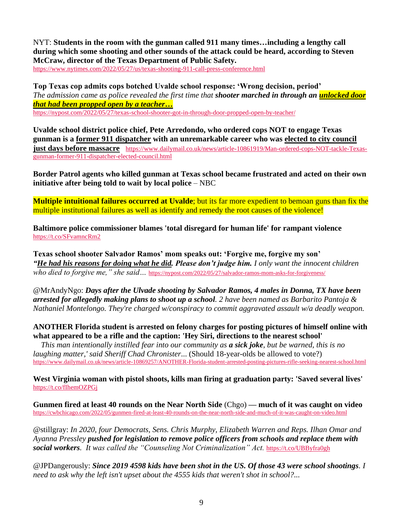NYT: **Students in the room with the gunman called 911 many times…including a lengthy call during which some shooting and other sounds of the attack could be heard, according to Steven McCraw, director of the Texas Department of Public Safety.**

<https://www.nytimes.com/2022/05/27/us/texas-shooting-911-call-press-conference.html>

**Top Texas cop admits cops botched Uvalde school response: 'Wrong decision, period'** *The admission came as police revealed the first time that shooter marched in through an unlocked door that had been propped open by a teacher…* <https://nypost.com/2022/05/27/texas-school-shooter-got-in-through-door-propped-open-by-teacher/>

**Uvalde school district police chief, Pete Arredondo, who ordered cops NOT to engage Texas gunman is a former 911 dispatcher with an unremarkable career who was elected to city council just days before massacre** [https://www.dailymail.co.uk/news/article-10861919/Man-ordered-cops-NOT-tackle-Texas](https://www.dailymail.co.uk/news/article-10861919/Man-ordered-cops-NOT-tackle-Texas-gunman-former-911-dispatcher-elected-council.html)[gunman-former-911-dispatcher-elected-council.html](https://www.dailymail.co.uk/news/article-10861919/Man-ordered-cops-NOT-tackle-Texas-gunman-former-911-dispatcher-elected-council.html)

**Border Patrol agents who killed gunman at Texas school became frustrated and acted on their own initiative after being told to wait by local police** – NBC

**Multiple intuitional failures occurred at Uvalde**; but its far more expedient to bemoan guns than fix the multiple institutional failures as well as identify and remedy the root causes of the violence!

**Baltimore police commissioner blames 'total disregard for human life' for rampant violence**  <https://t.co/SFvamncRm2>

**Texas school shooter Salvador Ramos' mom speaks out: 'Forgive me, forgive my son'** *"He had his reasons for doing what he did. Please don't judge him. I only want the innocent children who died to forgive me," she said*... <https://nypost.com/2022/05/27/salvador-ramos-mom-asks-for-forgiveness/>

@MrAndyNgo: *Days after the Ulvade shooting by Salvador Ramos, 4 males in Donna, TX have been arrested for allegedly making plans to shoot up a school. 2 have been named as Barbarito Pantoja & Nathaniel Montelongo. They're charged w/conspiracy to commit aggravated assault w/a deadly weapon.*

**ANOTHER Florida student is arrested on felony charges for posting pictures of himself online with what appeared to be a rifle and the caption: 'Hey Siri, directions to the nearest school'**

 *This man intentionally instilled fear into our community as a sick joke, but be warned, this is no laughing matter,' said Sheriff Chad Chronister...* (Should 18-year-olds be allowed to vote?) <https://www.dailymail.co.uk/news/article-10869257/ANOTHER-Florida-student-arrested-posting-pictures-rifle-seeking-nearest-school.html>

**West Virginia woman with pistol shoots, kills man firing at graduation party: 'Saved several lives'** <https://t.co/fIhemOZPGj>

**Gunmen fired at least 40 rounds on the Near North Side** (Chgo) **— much of it was caught on video** <https://cwbchicago.com/2022/05/gunmen-fired-at-least-40-rounds-on-the-near-north-side-and-much-of-it-was-caught-on-video.html>

@stillgray: *In 2020, four Democrats, Sens. Chris Murphy, Elizabeth Warren and Reps. Ilhan Omar and Ayanna Pressley pushed for legislation to remove police officers from schools and replace them with social workers. It was called the "Counseling Not Criminalization" Act.* <https://t.co/UBByfra0gh>

@JPDangerously: *Since 2019 4598 kids have been shot in the US. Of those 43 were school shootings. I need to ask why the left isn't upset about the 4555 kids that weren't shot in school?...*